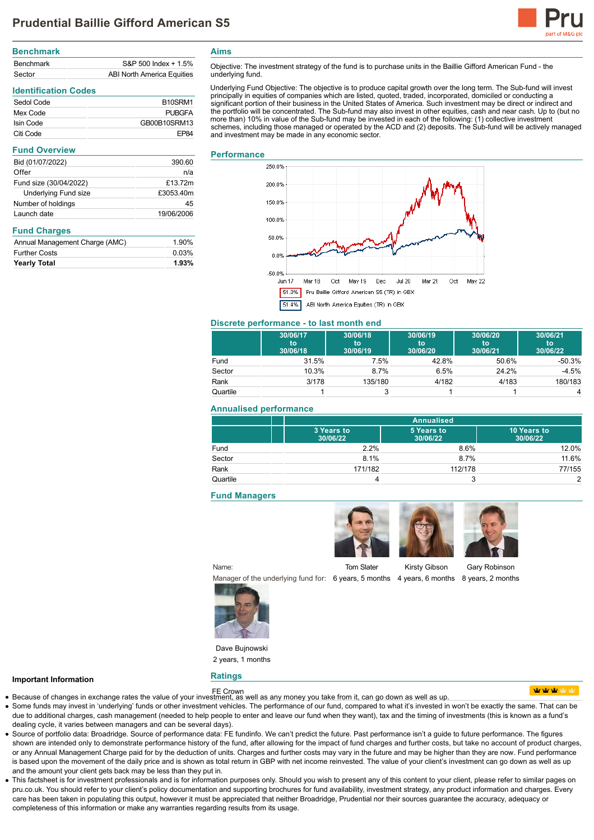

| <b>Benchmark</b> |                            |
|------------------|----------------------------|
| <b>Benchmark</b> | S&P 500 Index + 1.5%       |
| Sector           | ABI North America Equities |

# **Identification Codes**

| Sedol Code | B <sub>10</sub> SRM <sub>1</sub> |
|------------|----------------------------------|
| Mex Code   | PURGFA                           |
| Isin Code  | GB00B10SRM13                     |
| Citi Code  | FP <sub>84</sub>                 |

| <b>Fund Overview</b>        |            |
|-----------------------------|------------|
| Bid (01/07/2022)            | 390.60     |
| Offer                       | n/a        |
| Fund size (30/04/2022)      | £13.72m    |
| <b>Underlying Fund size</b> | £3053.40m  |
| Number of holdings          | 45         |
| Launch date                 | 19/06/2006 |

#### **Fund Charges**

| Annual Management Charge (AMC) | 1.90% |
|--------------------------------|-------|
| <b>Further Costs</b>           | 0.03% |
| <b>Yearly Total</b>            | 1.93% |

Objective: The investment strategy of the fund is to purchase units in the Baillie Gifford American Fund - the underlying fund.

Underlying Fund Objective: The objective is to produce capital growth over the long term. The Sub-fund will invest<br>principally in equities of companies which are listed, quoted, traded, incorporated, domiciled or conductin significant portion of their business in the United States of America. Such investment may be direct or indirect and the portfolio will be concentrated. The Sub-fund may also invest in other equities, cash and near cash. Up to (but no more than) 10% in value of the Sub-fund may be invested in each of the following: (1) collective investment schemes, including those managed or operated by the ACD and (2) deposits. The Sub-fund will be actively managed and investment may be made in any economic sector.

#### **Performance**

**Aims**



#### **Discrete performance - to last month end**

|          | 30/06/17<br>to<br>30/06/18 | 30/06/18<br>to<br>30/06/19 | 30/06/19<br>to<br>30/06/20 | 30/06/20<br>to<br>30/06/21 | 30/06/21<br>to<br>30/06/22 |
|----------|----------------------------|----------------------------|----------------------------|----------------------------|----------------------------|
| Fund     | 31.5%                      | 7.5%                       | 42.8%                      | 50.6%                      | -50.3%                     |
| Sector   | 10.3%                      | 8.7%                       | 6.5%                       | 24.2%                      | $-4.5%$                    |
| Rank     | 3/178                      | 135/180                    | 4/182                      | 4/183                      | 180/183                    |
| Quartile |                            |                            |                            |                            | 4                          |

#### **Annualised performance**

|          | <b>Annualised</b>      |                        |                         |
|----------|------------------------|------------------------|-------------------------|
|          | 3 Years to<br>30/06/22 | 5 Years to<br>30/06/22 | 10 Years to<br>30/06/22 |
| Fund     | 2.2%                   | 8.6%                   | 12.0%                   |
| Sector   | 8.1%                   | 8.7%                   | 11.6%                   |
| Rank     | 171/182                | 112/178                | 77/155                  |
| Quartile |                        |                        | っ                       |

#### **Fund Managers**

Tom Slater

Kirsty Gibson

Manager of the underlying fund for: 6 years, 5 months 4 years, 6 months 8 years, 2 months

Name:







Dave Bujnowski 2 years, 1 months

**Ratings**

### **Important Information**

- FE Crown Because of changes in exchange rates the value of your investment, as well as any money you take from it, can go down as well as up.
- Some funds may invest in 'underlying' funds or other investment vehicles. The performance of our fund, compared to what it's invested in won't be exactly the same. That can be due to additional charges, cash management (needed to help people to enter and leave our fund when they want), tax and the timing of investments (this is known as a fund's dealing cycle, it varies between managers and can be several days).
- Source of portfolio data: Broadridge. Source of performance data: FE fundinfo. We can't predict the future. Past performance isn't a guide to future performance. The figures shown are intended only to demonstrate performance history of the fund, after allowing for the impact of fund charges and further costs, but take no account of product charges, or any Annual Management Charge paid for by the deduction of units. Charges and further costs may vary in the future and may be higher than they are now. Fund performance is based upon the movement of the daily price and is shown as total return in GBP with net income reinvested. The value of your client's investment can go down as well as up and the amount your client gets back may be less than they put in.
- This factsheet is for investment professionals and is for information purposes only. Should you wish to present any of this content to your client, please refer to similar pages on pru.co.uk. You should refer to your client's policy documentation and supporting brochures for fund availability, investment strategy, any product information and charges. Every care has been taken in populating this output, however it must be appreciated that neither Broadridge, Prudential nor their sources guarantee the accuracy, adequacy or completeness of this information or make any warranties regarding results from its usage.





**utratrat**